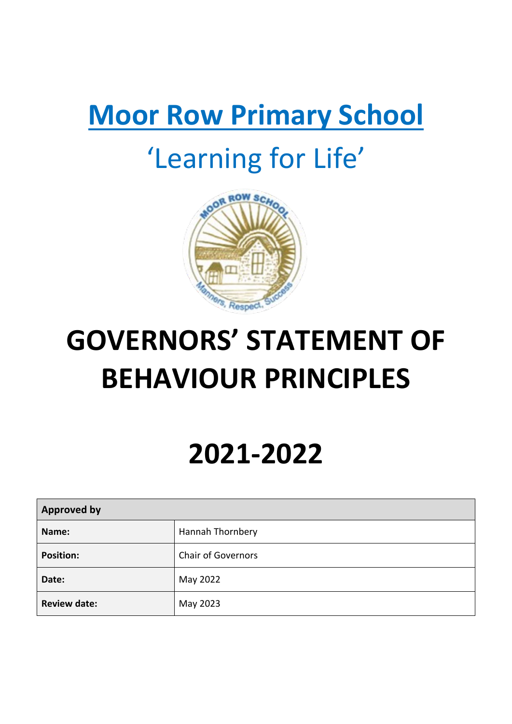# **Moor Row Primary School**

# 'Learning for Life'



# **GOVERNORS' STATEMENT OF BEHAVIOUR PRINCIPLES**

# **2021-2022**

| <b>Approved by</b>  |                           |
|---------------------|---------------------------|
| Name:               | <b>Hannah Thornbery</b>   |
| <b>Position:</b>    | <b>Chair of Governors</b> |
| Date:               | May 2022                  |
| <b>Review date:</b> | May 2023                  |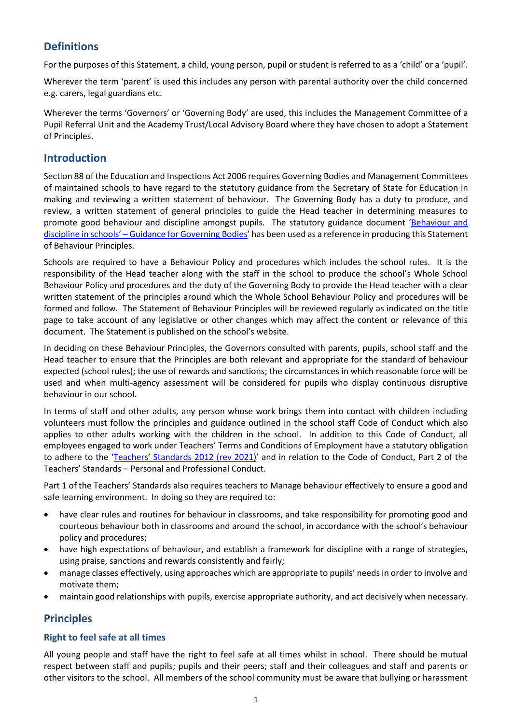# **Definitions**

For the purposes of this Statement, a child, young person, pupil or student is referred to as a 'child' or a 'pupil'.

Wherever the term 'parent' is used this includes any person with parental authority over the child concerned e.g. carers, legal guardians etc.

Wherever the terms 'Governors' or 'Governing Body' are used, this includes the Management Committee of a Pupil Referral Unit and the Academy Trust/Local Advisory Board where they have chosen to adopt a Statement of Principles.

## **Introduction**

Section 88 of the Education and Inspections Act 2006 requires Governing Bodies and Management Committees of maintained schools to have regard to the statutory guidance from the Secretary of State for Education in making and reviewing a written statement of behaviour. The Governing Body has a duty to produce, and review, a written statement of general principles to guide the Head teacher in determining measures to promote good behaviour and discipline amongst pupils. The statutory guidance document '[Behaviour and](https://www.gov.uk/government/publications/behaviour-and-discipline-in-schools-guidance-for-governing-bodies)  discipline in schools' – [Guidance for Governing Bodies](https://www.gov.uk/government/publications/behaviour-and-discipline-in-schools-guidance-for-governing-bodies)' has been used as a reference in producing this Statement of Behaviour Principles.

Schools are required to have a Behaviour Policy and procedures which includes the school rules. It is the responsibility of the Head teacher along with the staff in the school to produce the school's Whole School Behaviour Policy and procedures and the duty of the Governing Body to provide the Head teacher with a clear written statement of the principles around which the Whole School Behaviour Policy and procedures will be formed and follow. The Statement of Behaviour Principles will be reviewed regularly as indicated on the title page to take account of any legislative or other changes which may affect the content or relevance of this document. The Statement is published on the school's website.

In deciding on these Behaviour Principles, the Governors consulted with parents, pupils, school staff and the Head teacher to ensure that the Principles are both relevant and appropriate for the standard of behaviour expected (school rules); the use of rewards and sanctions; the circumstances in which reasonable force will be used and when multi-agency assessment will be considered for pupils who display continuous disruptive behaviour in our school.

In terms of staff and other adults, any person whose work brings them into contact with children including volunteers must follow the principles and guidance outlined in the school staff Code of Conduct which also applies to other adults working with the children in the school. In addition to this Code of Conduct, all employees engaged to work under Teachers' Terms and Conditions of Employment have a statutory obligation to adhere to the ['Teachers' Standards 2012 \(rev 20](https://assets.publishing.service.gov.uk/government/uploads/system/uploads/attachment_data/file/1007716/Teachers__Standards_2021_update.pdf)21)' and in relation to the Code of Conduct, Part 2 of the Teachers' Standards – Personal and Professional Conduct.

Part 1 of the Teachers' Standards also requires teachers to Manage behaviour effectively to ensure a good and safe learning environment. In doing so they are required to:

- have clear rules and routines for behaviour in classrooms, and take responsibility for promoting good and courteous behaviour both in classrooms and around the school, in accordance with the school's behaviour policy and procedures;
- have high expectations of behaviour, and establish a framework for discipline with a range of strategies, using praise, sanctions and rewards consistently and fairly;
- manage classes effectively, using approaches which are appropriate to pupils' needs in order to involve and motivate them;
- maintain good relationships with pupils, exercise appropriate authority, and act decisively when necessary.

# **Principles**

## **Right to feel safe at all times**

All young people and staff have the right to feel safe at all times whilst in school. There should be mutual respect between staff and pupils; pupils and their peers; staff and their colleagues and staff and parents or other visitors to the school. All members of the school community must be aware that bullying or harassment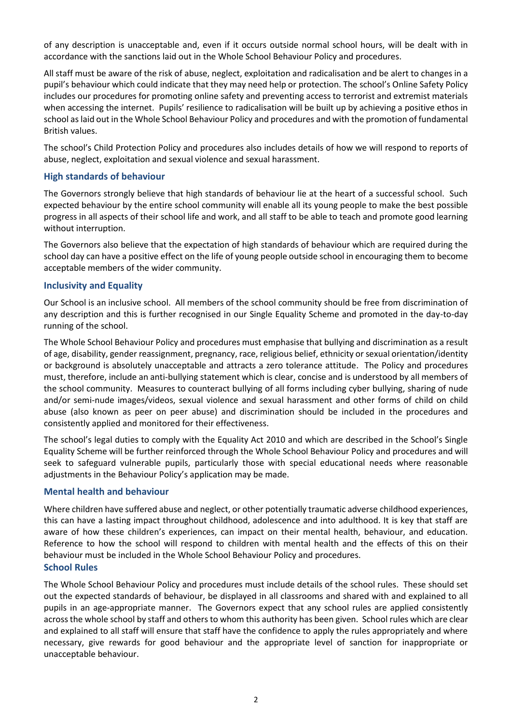of any description is unacceptable and, even if it occurs outside normal school hours, will be dealt with in accordance with the sanctions laid out in the Whole School Behaviour Policy and procedures.

All staff must be aware of the risk of abuse, neglect, exploitation and radicalisation and be alert to changes in a pupil's behaviour which could indicate that they may need help or protection. The school's Online Safety Policy includes our procedures for promoting online safety and preventing access to terrorist and extremist materials when accessing the internet. Pupils' resilience to radicalisation will be built up by achieving a positive ethos in school as laid out in the Whole School Behaviour Policy and procedures and with the promotion of fundamental British values.

The school's Child Protection Policy and procedures also includes details of how we will respond to reports of abuse, neglect, exploitation and sexual violence and sexual harassment.

## **High standards of behaviour**

The Governors strongly believe that high standards of behaviour lie at the heart of a successful school. Such expected behaviour by the entire school community will enable all its young people to make the best possible progress in all aspects of their school life and work, and all staff to be able to teach and promote good learning without interruption.

The Governors also believe that the expectation of high standards of behaviour which are required during the school day can have a positive effect on the life of young people outside school in encouraging them to become acceptable members of the wider community.

### **Inclusivity and Equality**

Our School is an inclusive school. All members of the school community should be free from discrimination of any description and this is further recognised in our Single Equality Scheme and promoted in the day-to-day running of the school.

The Whole School Behaviour Policy and procedures must emphasise that bullying and discrimination as a result of age, disability, gender reassignment, pregnancy, race, religious belief, ethnicity or sexual orientation/identity or background is absolutely unacceptable and attracts a zero tolerance attitude. The Policy and procedures must, therefore, include an anti-bullying statement which is clear, concise and is understood by all members of the school community. Measures to counteract bullying of all forms including cyber bullying, sharing of nude and/or semi-nude images/videos, sexual violence and sexual harassment and other forms of child on child abuse (also known as peer on peer abuse) and discrimination should be included in the procedures and consistently applied and monitored for their effectiveness.

The school's legal duties to comply with the Equality Act 2010 and which are described in the School's Single Equality Scheme will be further reinforced through the Whole School Behaviour Policy and procedures and will seek to safeguard vulnerable pupils, particularly those with special educational needs where reasonable adjustments in the Behaviour Policy's application may be made.

#### **Mental health and behaviour**

Where children have suffered abuse and neglect, or other potentially traumatic adverse childhood experiences, this can have a lasting impact throughout childhood, adolescence and into adulthood. It is key that staff are aware of how these children's experiences, can impact on their mental health, behaviour, and education. Reference to how the school will respond to children with mental health and the effects of this on their behaviour must be included in the Whole School Behaviour Policy and procedures.

## **School Rules**

The Whole School Behaviour Policy and procedures must include details of the school rules. These should set out the expected standards of behaviour, be displayed in all classrooms and shared with and explained to all pupils in an age-appropriate manner. The Governors expect that any school rules are applied consistently across the whole school by staff and others to whom this authority has been given. School rules which are clear and explained to all staff will ensure that staff have the confidence to apply the rules appropriately and where necessary, give rewards for good behaviour and the appropriate level of sanction for inappropriate or unacceptable behaviour.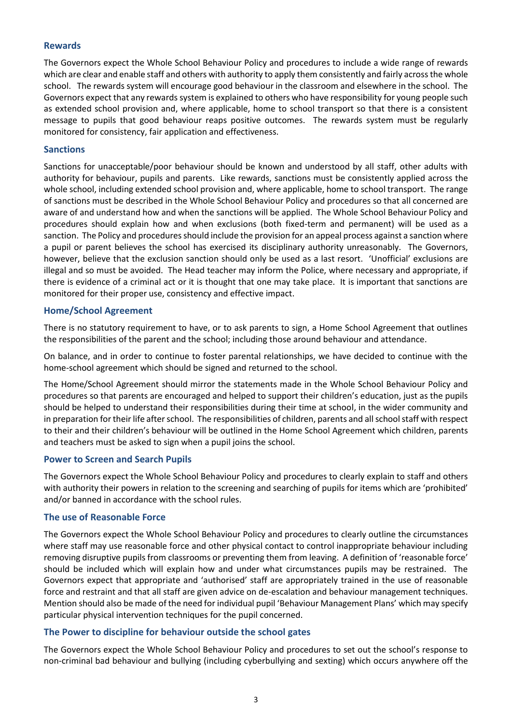### **Rewards**

The Governors expect the Whole School Behaviour Policy and procedures to include a wide range of rewards which are clear and enable staff and others with authority to apply them consistently and fairly across the whole school. The rewards system will encourage good behaviour in the classroom and elsewhere in the school. The Governors expect that any rewards system is explained to others who have responsibility for young people such as extended school provision and, where applicable, home to school transport so that there is a consistent message to pupils that good behaviour reaps positive outcomes. The rewards system must be regularly monitored for consistency, fair application and effectiveness.

#### **Sanctions**

Sanctions for unacceptable/poor behaviour should be known and understood by all staff, other adults with authority for behaviour, pupils and parents. Like rewards, sanctions must be consistently applied across the whole school, including extended school provision and, where applicable, home to school transport. The range of sanctions must be described in the Whole School Behaviour Policy and procedures so that all concerned are aware of and understand how and when the sanctions will be applied. The Whole School Behaviour Policy and procedures should explain how and when exclusions (both fixed-term and permanent) will be used as a sanction. The Policy and procedures should include the provision for an appeal process against a sanction where a pupil or parent believes the school has exercised its disciplinary authority unreasonably. The Governors, however, believe that the exclusion sanction should only be used as a last resort. 'Unofficial' exclusions are illegal and so must be avoided. The Head teacher may inform the Police, where necessary and appropriate, if there is evidence of a criminal act or it is thought that one may take place. It is important that sanctions are monitored for their proper use, consistency and effective impact.

#### **Home/School Agreement**

There is no statutory requirement to have, or to ask parents to sign, a Home School Agreement that outlines the responsibilities of the parent and the school; including those around behaviour and attendance.

On balance, and in order to continue to foster parental relationships, we have decided to continue with the home-school agreement which should be signed and returned to the school.

The Home/School Agreement should mirror the statements made in the Whole School Behaviour Policy and procedures so that parents are encouraged and helped to support their children's education, just as the pupils should be helped to understand their responsibilities during their time at school, in the wider community and in preparation for their life after school. The responsibilities of children, parents and all school staff with respect to their and their children's behaviour will be outlined in the Home School Agreement which children, parents and teachers must be asked to sign when a pupil joins the school.

#### **Power to Screen and Search Pupils**

The Governors expect the Whole School Behaviour Policy and procedures to clearly explain to staff and others with authority their powers in relation to the screening and searching of pupils for items which are 'prohibited' and/or banned in accordance with the school rules.

#### **The use of Reasonable Force**

The Governors expect the Whole School Behaviour Policy and procedures to clearly outline the circumstances where staff may use reasonable force and other physical contact to control inappropriate behaviour including removing disruptive pupils from classrooms or preventing them from leaving. A definition of 'reasonable force' should be included which will explain how and under what circumstances pupils may be restrained. The Governors expect that appropriate and 'authorised' staff are appropriately trained in the use of reasonable force and restraint and that all staff are given advice on de-escalation and behaviour management techniques. Mention should also be made of the need for individual pupil 'Behaviour Management Plans' which may specify particular physical intervention techniques for the pupil concerned.

#### **The Power to discipline for behaviour outside the school gates**

The Governors expect the Whole School Behaviour Policy and procedures to set out the school's response to non-criminal bad behaviour and bullying (including cyberbullying and sexting) which occurs anywhere off the